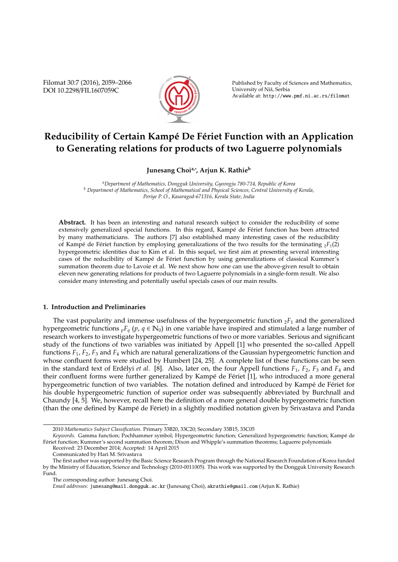Filomat 30:7 (2016), 2059–2066 DOI 10.2298/FIL1607059C



Published by Faculty of Sciences and Mathematics, University of Niš, Serbia Available at: http://www.pmf.ni.ac.rs/filomat

# **Reducibility of Certain Kampé De Fériet Function with an Application to Generating relations for products of two Laguerre polynomials**

**Junesang Choia,**<sup>∗</sup> **, Arjun K. Rathie<sup>b</sup>**

*<sup>a</sup>Department of Mathematics, Dongguk University, Gyeongju 780-714, Republic of Korea <sup>b</sup> Department of Mathematics, School of Mathematical and Physical Sciences, Central University of Kerala, Periye P. O., Kasaragod-671316, Kerala State, India*

Abstract. It has been an interesting and natural research subject to consider the reducibility of some extensively generalized special functions. In this regard, Kampé de Fériet function has been attracted by many mathematicians. The authors [7] also established many interesting cases of the reducibility of Kampé de Fériet function by employing generalizations of the two results for the terminating  $_2F_1(2)$ hypergeometric identities due to Kim et al. In this sequel, we first aim at presenting several interesting cases of the reducibility of Kampé de Fériet function by using generalizations of classical Kummer's summation theorem due to Lavoie et al. We next show how one can use the above-given result to obtain eleven new generating relations for products of two Laguerre polynomials in a single-form result. We also consider many interesting and potentially useful specials cases of our main results.

## **1. Introduction and Preliminaries**

The vast popularity and immense usefulness of the hypergeometric function  $_2F_1$  and the generalized hypergeometric functions  ${}_{p}F_{q}$  (p,  $q \in \mathbb{N}_0$ ) in one variable have inspired and stimulated a large number of research workers to investigate hypergeometric functions of two or more variables. Serious and significant study of the functions of two variables was initiated by Appell [1] who presented the so-called Appell functions *F*1, *F*2, *F*<sup>3</sup> and *F*<sup>4</sup> which are natural generalizations of the Gaussian hypergeometric function and whose confluent forms were studied by Humbert [24, 25]. A complete list of these functions can be seen in the standard text of Erdélyi *et al.* [8]. Also, later on, the four Appell functions  $F_1$ ,  $F_2$ ,  $F_3$  and  $F_4$  and their confluent forms were further generalized by Kampé de Fériet [1], who introduced a more general hypergeometric function of two variables. The notation defined and introduced by Kampé de Fériet for his double hypergeometric function of superior order was subsequently abbreviated by Burchnall and Chaundy [4, 5]. We, however, recall here the definition of a more general double hypergeometric function (than the one defined by Kampé de Fériet) in a slightly modified notation given by Srivastava and Panda

*Keywords*. Gamma function; Pochhammer symbol; Hypergeometric function; Generalized hypergeometric function; Kampe de ´ Feriet function; Kummer's second summation theorem; Dixon and Whipple's summation theorems; Laguerre polynomials ´ Received: 23 December 2014; Accepted: 14 April 2015

<sup>2010</sup> *Mathematics Subject Classification*. Primary 33B20, 33C20; Secondary 33B15, 33C05

Communicated by Hari M. Srivastava

The first author was supported by the Basic Science Research Program through the National Research Foundation of Korea funded by the Ministry of Education, Science and Technology (2010-0011005). This work was supported by the Dongguk University Research Fund.

The corresponding author: Junesang Choi.

*Email addresses:* junesang@mail.dongguk.ac.kr (Junesang Choi), akrathie@gmail.com (Arjun K. Rathie)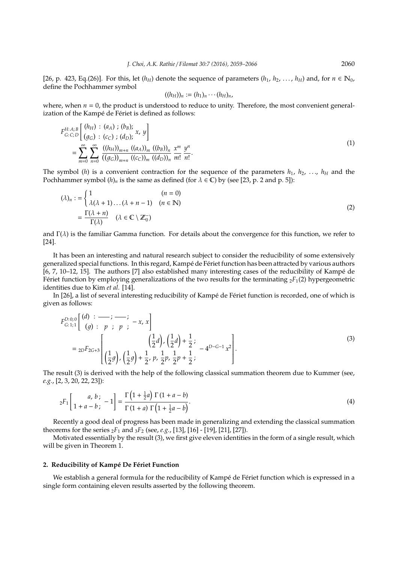[26, p. 423, Eq.(26)]. For this, let  $(h_H)$  denote the sequence of parameters  $(h_1, h_2, \ldots, h_H)$  and, for  $n \in \mathbb{N}_0$ , define the Pochhammer symbol

$$
((h_H))_n:=(h_1)_n\cdots(h_H)_n,
$$

where, when  $n = 0$ , the product is understood to reduce to unity. Therefore, the most convenient generalization of the Kampé de Fériet is defined as follows:

$$
F_{G:C;D}^{H:A;B}\left[\begin{array}{c} (h_{H}) : (a_{A}) ; (b_{B}); \\ (g_{G}) : (c_{C}) ; (d_{D}); \end{array} x, y \right]
$$
  
= 
$$
\sum_{m=0}^{\infty} \sum_{n=0}^{\infty} \frac{((h_{H}))_{m+n} ((a_{A}))_{m} ((b_{B}))_{n}}{((g_{G}))_{m+n} ((c_{C}))_{m} ((d_{D}))_{n}} \frac{x^{m}}{m!} \frac{y^{n}}{n!}.
$$
 (1)

The symbol (*h*) is a convenient contraction for the sequence of the parameters  $h_1$ ,  $h_2$ , ...,  $h_H$  and the Pochhammer symbol  $(h)_n$  is the same as defined (for  $\lambda \in \mathbb{C}$ ) by (see [23, p. 2 and p. 5]):

$$
(\lambda)_n := \begin{cases} 1 & (n = 0) \\ \lambda(\lambda + 1) \dots (\lambda + n - 1) & (n \in \mathbb{N}) \end{cases}
$$

$$
= \frac{\Gamma(\lambda + n)}{\Gamma(\lambda)} \quad (\lambda \in \mathbb{C} \setminus \mathbb{Z}_0^-)
$$
(2)

and  $\Gamma(\lambda)$  is the familiar Gamma function. For details about the convergence for this function, we refer to [24].

It has been an interesting and natural research subject to consider the reducibility of some extensively generalized special functions. In this regard, Kampé de Fériet function has been attracted by various authors [6, 7, 10–12, 15]. The authors [7] also established many interesting cases of the reducibility of Kampe de ´ Fériet function by employing generalizations of the two results for the terminating  ${}_{2}F_{1}(2)$  hypergeometric identities due to Kim *et al.* [14].

In [26], a list of several interesting reducibility of Kampé de Fériet function is recorded, one of which is given as follows:

$$
F_{G:1;1}^{D:0;0}\left[\begin{array}{c} (d) : \frac{\cdot}{\cdot} \cdot & \cdot \\ (g) : p : p : p : \end{array} \right] = {}_{2D}F_{2G+3}\left[\begin{array}{c} \left(\frac{1}{2}d\right), \left(\frac{1}{2}d\right) + \frac{1}{2}; \\ \left(\frac{1}{2}g\right), \left(\frac{1}{2}g\right) + \frac{1}{2}, p, \frac{1}{2}p + \frac{1}{2}; \end{array} - 4^{D-G-1}x^2\right].
$$
\n(3)

The result (3) is derived with the help of the following classical summation theorem due to Kummer (see, *e.g.*, [2, 3, 20, 22, 23]):

$$
{}_{2}F_{1}\left[\begin{array}{c}a, b; \\ 1+a-b; \end{array}-1\right] = \frac{\Gamma\left(1+\frac{1}{2}a\right)\Gamma\left(1+a-b\right)}{\Gamma\left(1+a\right)\Gamma\left(1+\frac{1}{2}a-b\right)}.\tag{4}
$$

Recently a good deal of progress has been made in generalizing and extending the classical summation theorems for the series  $_2F_1$  and  $_3F_2$  (see, *e.g.*, [13], [16] - [19], [21], [27]).

Motivated essentially by the result (3), we first give eleven identities in the form of a single result, which will be given in Theorem 1.

## 2. Reducibility of Kampé De Fériet Function

We establish a general formula for the reducibility of Kampé de Fériet function which is expressed in a single form containing eleven results asserted by the following theorem.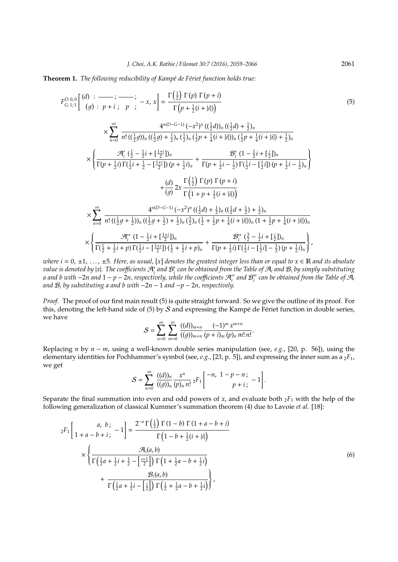**Theorem 1.** *The following reducibility of Kampé de Fériet function holds true:* 

$$
F_{G:1;1}^{D:0;0}\left[\begin{array}{c} (d) : \frac{\partial}{\partial p} : \frac{\partial}{\partial p} : -x, x \right] = \frac{\Gamma(\frac{1}{2}) \Gamma(p) \Gamma(p+i)}{\Gamma(p+\frac{1}{2}(i+|i|))} \\ \times \sum_{n=0}^{\infty} \frac{4^{n(D-G-1)} \left(-x^{2}\right)^{n} \left(\frac{1}{2}d\right)_{n} \left(\frac{1}{2}d\right) + \frac{1}{2} \right)_{n}}{\frac{1}{2}(i+|i|)_{n} \left(\frac{1}{2}p + \frac{1}{4}(i+|i|)\right)_{n} \left(\frac{1}{2}p + \frac{1}{4}(i+|i|)\right) + \frac{1}{2} \right)_{n}} \\ \times \left\{ \frac{\mathcal{H}'_{i} \left(\frac{1}{2} - \frac{1}{2}i + \left[\frac{1+i}{2}\right]_{n} \left(\frac{1}{2}p + \frac{1}{4}(i+|i|)\right)_{n} \left(\frac{1}{2}p + \frac{1}{4}(i+|i|)\right) + \frac{1}{2} \right)_{n}}{\Gamma(p+\frac{1}{2}i) \Gamma(\frac{1}{2}i + \frac{1}{2} - \left[\frac{1+i}{2}\right]_{n} \left(p + \frac{1}{2}i\right)_{n}} + \frac{\mathcal{B}'_{i} \left(1 - \frac{1}{2}i + \left[\frac{1}{2}\right]_{n} \left(\frac{1}{2}p + \frac{1}{2}i\right) + \frac{1}{2} \left(\frac{1}{2}p + \frac{1}{2}i\right) \right) \left(\frac{1}{2}p + \frac{1}{2}i - \frac{1}{2}i\right) \left(\frac{1}{2}p + \frac{1}{2}i - \frac{1}{2}i\right) \left(\frac{1}{2}p + \frac{1}{2}i\right) \left(\frac{1}{2}p + \frac{1}{2}i - \frac{1}{2}i\right) \left(\frac{1}{2}p + \frac{1}{2}i - \frac{1}{2}i\right) \left(\frac{1}{2}p + \frac{1}{2}i - \frac{1}{2}i\right) \left(\frac{1}{2}p + \frac{1}{2}i - \frac{1}{2}i\right) \left(\frac{1}{2}p + \frac
$$

*where i* = 0,  $\pm$ 1, ...,  $\pm$ 5. Here, as usual, [x] denotes the greatest integer less than or equal to  $x \in \mathbb{R}$  and its absolute *value is denoted by*  $|x|$ *. The coefficients*  $\mathcal{A}'_i$  *and*  $\mathcal{B}'_i$  *can be obtained from the Table of*  $\mathcal{A}_i$  *and*  $\mathcal{B}_i$  *by simply substituting a* and b with −2n and 1 − p − 2n, respectively, while the coefficients  $\mathcal{A}''_i$  and  $\mathcal{B}''_i$  can be obtained from the Table of  $\mathcal{A}_i$ *and* B*<sup>i</sup> by substituting a and b with* −2*n* − 1 *and* −*p* − 2*n, respectively.*

*Proof.* The proof of our first main result (5) is quite straight forward. So we give the outline of its proof. For this, denoting the left-hand side of (5) by  $S$  and expressing the Kampé de Fériet function in double series, we have

$$
S=\sum_{n=0}^{\infty}\sum_{m=0}^{\infty}\frac{((d))_{m+n}}{((g))_{m+n}}\frac{(-1)^{m}x^{m+n}}{(p+i)_{m}(p)_{n}m!n!}.
$$

Replacing *n* by *n* − *m*, using a well-known double series manipulation (see, *e.g.*, [20, p. 56]), using the elementary identities for Pochhammer's symbol (see, *e.g.*, [23, p. 5]), and expressing the inner sum as a <sub>2</sub>*F*<sub>1</sub>, we get

$$
S=\sum_{n=0}^{\infty}\frac{((d))_n}{((g))_n}\frac{x^n}{(p)_n n!}\,{}_2F_1\left[\begin{array}{cc} -n, & 1-p-n\\ & p+i\end{array}, -1\right].
$$

Separate the final summation into even and odd powers of  $x$ , and evaluate both  $_2F_1$  with the help of the following generalization of classical Kummer's summation theorem (4) due to Lavoie *et al*. [18]:

$$
{}_{2}F_{1}\left[\begin{array}{c} a, b; \\ 1+a-b+i; \end{array} -1\right] = \frac{2^{-a}\Gamma\left(\frac{1}{2}\right)\Gamma(1-b)\Gamma(1+a-b+i)}{\Gamma\left(1-b+\frac{1}{2}(i+|i|\right)} \times \left\{\frac{\mathcal{A}_{i}(a,b)}{\Gamma\left(\frac{1}{2}a+\frac{1}{2}i+\frac{1}{2}-\left[\frac{i+1}{2}\right]\right)\Gamma\left(1+\frac{1}{2}a-b+\frac{1}{2}i\right)} + \frac{\mathcal{B}_{i}(a,b)}{\Gamma\left(\frac{1}{2}a+\frac{1}{2}i-\left[\frac{i}{2}\right]\right)\Gamma\left(\frac{1}{2}+\frac{1}{2}a-b+\frac{1}{2}i\right)}\right\},\tag{6}
$$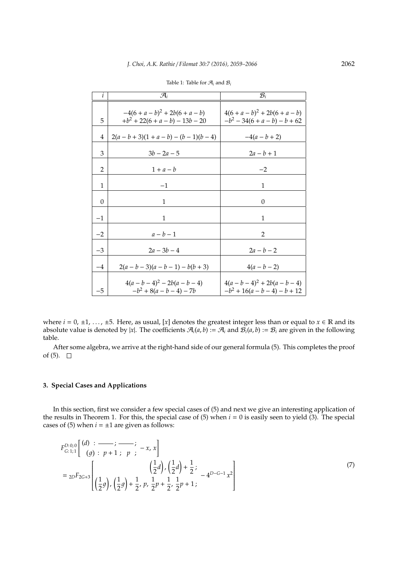| i        | $\mathcal{A}_i$                                                | $\mathcal{B}_i$                                                     |
|----------|----------------------------------------------------------------|---------------------------------------------------------------------|
| 5        | $-4(6+a-b)^2 + 2b(6+a-b)$<br>$+b^2$ + 22(6 + a - b) - 13b - 20 | $4(6 + a - b)^2 + 2b(6 + a - b)$<br>$-b^2$ – 34(6 + a – b) – b + 62 |
| 4        | $2(a-b+3)(1+a-b) - (b-1)(b-4)$                                 | $-4(a - b + 2)$                                                     |
| 3        | $3h - 2a - 5$                                                  | $2a - b + 1$                                                        |
| 2        | $1+a-b$                                                        | $-2$                                                                |
| 1        | $-1$                                                           | 1                                                                   |
| $\Omega$ | 1                                                              | $\Omega$                                                            |
| $-1$     | 1                                                              | 1                                                                   |
| $-2$     | $a-b-1$                                                        | $\overline{2}$                                                      |
| $-3$     | $2a - 3b - 4$                                                  | $2a - b - 2$                                                        |
| $-4$     | $2(a - b - 3)(a - b - 1) - b(b + 3)$                           | $4(a - b - 2)$                                                      |
| $-5$     | $4(a - b - 4)^2 - 2b(a - b - 4)$<br>$-b^2 + 8(a - b - 4) - 7b$ | $4(a - b - 4)^2 + 2b(a - b - 4)$<br>$-b^2+16(a-b-4)-b+12$           |

Table 1: Table for  $\mathcal{A}_i$  and  $\mathcal{B}_i$ 

where  $i = 0, \pm 1, \ldots, \pm 5$ . Here, as usual, [*x*] denotes the greatest integer less than or equal to  $x \in \mathbb{R}$  and its absolute value is denoted by |x|. The coefficients  $\mathcal{A}_i(a,b) := \mathcal{A}_i$  and  $\mathcal{B}_i(a,b) := \mathcal{B}_i$  are given in the following table.

After some algebra, we arrive at the right-hand side of our general formula (5). This completes the proof of  $(5)$ .  $\Box$ 

## **3. Special Cases and Applications**

In this section, first we consider a few special cases of (5) and next we give an interesting application of the results in Theorem 1. For this, the special case of  $(5)$  when  $i = 0$  is easily seen to yield  $(3)$ . The special cases of (5) when  $i = \pm 1$  are given as follows:

$$
F_{G:1;1}^{D:0;0} \begin{bmatrix} (d) : & - & ; & - & ; \\ (g) : p + 1 ; p : & -x, x \end{bmatrix}
$$
  
=  $_{2D}F_{2G+3} \begin{bmatrix} \frac{1}{2}d \end{bmatrix}, \left(\frac{1}{2}d\right) + \frac{1}{2};$   

$$
\begin{bmatrix} \frac{1}{2}d \end{bmatrix}, \left(\frac{1}{2}d\right) + \frac{1}{2};
$$
  

$$
\begin{bmatrix} p \end{bmatrix}
$$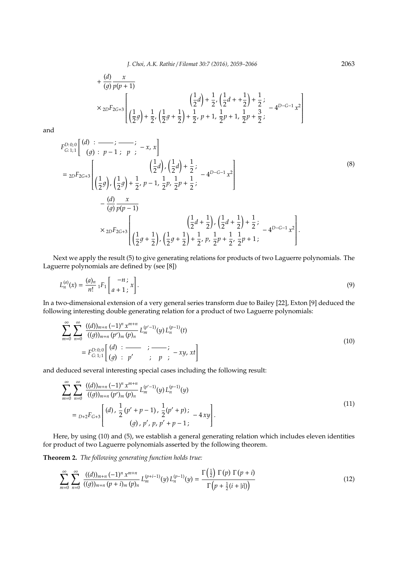*J. Choi, A.K. Rathie* / *Filomat 30:7 (2016), 2059–2066* 2063

$$
+\frac{(d)}{(g)}\frac{x}{p(p+1)}
$$
\n
$$
\times 2D F_{2G+3}\left[\left(\frac{1}{2}g\right) + \frac{1}{2}, \left(\frac{1}{2}d\right) + \frac{1}{2}, \left(\frac{1}{2}d + \frac{1}{2}\right) + \frac{1}{2};
$$
\n
$$
\times 2D F_{2G+3}\left[\left(\frac{1}{2}g\right) + \frac{1}{2}, \left(\frac{1}{2}g + \frac{1}{2}\right) + \frac{1}{2}, p+1, \frac{1}{2}p+1, \frac{1}{2}p+\frac{3}{2}; -4^{D-G-1}x^2\right]
$$

and

$$
F_{G:1;1}^{D:0;0}\left[\begin{array}{c} (d) : \overrightarrow{p-1} : p : -x, x \end{array}\right]
$$
\n
$$
= {}_{2D}F_{2G+3}\left[\begin{array}{c} \left(\frac{1}{2}d\right), \left(\frac{1}{2}d\right) + \frac{1}{2}; \\ \left(\frac{1}{2}g\right), \left(\frac{1}{2}g\right) + \frac{1}{2}, p - 1, \frac{1}{2}p, \frac{1}{2}p + \frac{1}{2}; \end{array}\right]
$$
\n
$$
- \frac{(d)}{(g)} \frac{x}{p(p-1)}
$$
\n
$$
\times {}_{2D}F_{2G+3}\left[\begin{array}{c} \left(\frac{1}{2}d + \frac{1}{2}\right), \left(\frac{1}{2}d + \frac{1}{2}\right) + \frac{1}{2}; \\ \left(\frac{1}{2}g + \frac{1}{2}\right), \left(\frac{1}{2}g + \frac{1}{2}\right) + \frac{1}{2}, p, \frac{1}{2}p + \frac{1}{2}; \frac{1}{2}p + 1; \end{array}\right].
$$
\n(8)

Next we apply the result (5) to give generating relations for products of two Laguerre polynomials. The Laguerre polynomials are defined by (see [8])

$$
L_n^{(a)}(x) = \frac{(a)_n}{n!} {}_1F_1\left[\begin{array}{c} -n \\ a+1 \end{array}; x\right].
$$
 (9)

In a two-dimensional extension of a very general series transform due to Bailey [22], Exton [9] deduced the following interesting double generating relation for a product of two Laguerre polynomials:

$$
\sum_{m=0}^{\infty} \sum_{n=0}^{\infty} \frac{((d))_{m+n} (-1)^n x^{m+n}}{((g))_{m+n} (p')_m (p)_n} L_m^{(p'-1)}(y) L_n^{(p-1)}(t)
$$
\n
$$
= F_{G:1;1}^{D:0;0} \left[ \begin{array}{ccc} (d) : & \overline{\phantom{0}} & \overline{\phantom{0}} \\ (g) : & p' & \overline{\phantom{0}} & \overline{\phantom{0}} \\ \end{array} \right] \tag{10}
$$

and deduced several interesting special cases including the following result:

$$
\sum_{m=0}^{\infty} \sum_{n=0}^{\infty} \frac{((d))_{m+n} (-1)^n x^{m+n}}{((g))_{m+n} (p')_m (p)_n} L_m^{(p'-1)}(y) L_n^{(p-1)}(y)
$$
\n
$$
=_{D+2} F_{G+3} \left[ \frac{(d) \cdot \frac{1}{2} (p' + p - 1) \cdot \frac{1}{2} (p' + p) \cdot (-4xy)}{(g) \cdot p' \cdot p, p' + p - 1} \right]. \tag{11}
$$

Here, by using (10) and (5), we establish a general generating relation which includes eleven identities for product of two Laguerre polynomials asserted by the following theorem.

**Theorem 2.** *The following generating function holds true:*

$$
\sum_{m=0}^{\infty} \sum_{n=0}^{\infty} \frac{((d))_{m+n} (-1)^n x^{m+n}}{((g))_{m+n} (p+i_m (p)_n} L_m^{(p+i-1)}(y) L_n^{(p-1)}(y) = \frac{\Gamma(\frac{1}{2}) \Gamma(p) \Gamma(p+i)}{\Gamma(p+\frac{1}{2}(i+|i|))}
$$
(12)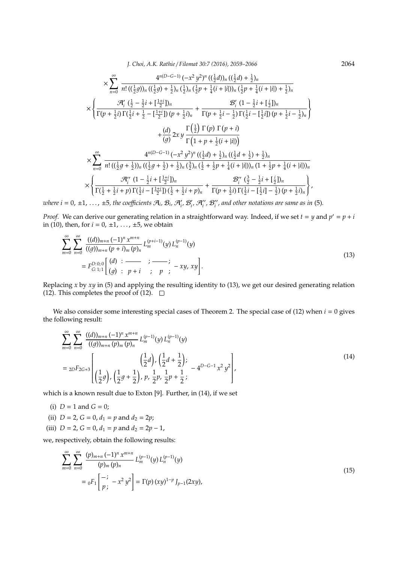*J. Choi, A.K. Rathie* / *Filomat 30:7 (2016), 2059–2066* 2064

$$
\times \sum_{n=0}^{\infty} \frac{4^{n(D-G-1)} (-x^2 y^2)^n ((\frac{1}{2}d))_n ((\frac{1}{2}d) + \frac{1}{2})_n}{n! ((\frac{1}{2}g))_n ((\frac{1}{2}g) + \frac{1}{2})_n (\frac{1}{2})_n (\frac{1}{2}p + \frac{1}{4}(i + |i|))_n (\frac{1}{2}p + \frac{1}{4}(i + |i|) + \frac{1}{2})_n}
$$
\n
$$
\times \left\{ \frac{\mathcal{A}'_i (\frac{1}{2} - \frac{1}{2}i + [\frac{1+i}{2}])_n}{\Gamma(p + \frac{1}{2}i) \Gamma(\frac{1}{2}i + \frac{1}{2} - [\frac{1+i}{2}]) (p + \frac{1}{2}i)_n} + \frac{\mathcal{B}'_i (1 - \frac{1}{2}i + [\frac{i}{2}])_n}{\Gamma(p + \frac{1}{2}i - \frac{1}{2}) \Gamma(\frac{1}{2}i - [\frac{1}{2}i]) (p + \frac{1}{2}i - \frac{1}{2})_n} \right\} + \frac{(d)}{(g)} 2xy \frac{\Gamma(\frac{1}{2}) \Gamma(p) \Gamma(p + i)}{\Gamma(1 + p + \frac{1}{2}(i + |i|))} + \frac{(d)}{(g)} 2xy \frac{\Gamma(\frac{1}{2}) \Gamma(p) \Gamma(p + i)}{\Gamma(1 + p + \frac{1}{2}(i + |i|))}
$$
\n
$$
\times \sum_{n=0}^{\infty} \frac{4^{n(D-G-1)} (-x^2 y^2)^n ((\frac{1}{2}d) + \frac{1}{2})_n ((\frac{1}{2}d + \frac{1}{2}) + \frac{1}{2})_n}{n! ((\frac{1}{2}g + \frac{1}{2}))_n ((\frac{1}{2}g + \frac{1}{2}) + \frac{1}{2})_n (\frac{3}{2})_n (\frac{1}{2} + \frac{1}{2}p + \frac{1}{4}(i + |i|))_n (1 + \frac{1}{2}p + \frac{1}{4}(i + |i|))_n}
$$
\n
$$
\times \left\{ \frac{\mathcal{A}''_i (1 - \frac{1}{2}i + [\frac{1+i}{2}])_n}{\Gamma(\frac{1}{2} + \frac{1}{2}i + p) \
$$

where  $i = 0, \pm 1, \ldots, \pm 5$ , the coefficients  $\mathcal{A}_i$ ,  $\mathcal{B}_i$ ,  $\mathcal{A}'_i$ ,  $\mathcal{B}'_i$ ,  $\mathcal{A}''_i$ ,  $\mathcal{B}''_i$ , and other notations are same as in (5).

*Proof.* We can derive our generating relation in a straightforward way. Indeed, if we set  $t = y$  and  $p' = p + i$ in (10), then, for  $i = 0, \pm 1, \ldots, \pm 5$ , we obtain

$$
\sum_{m=0}^{\infty} \sum_{n=0}^{\infty} \frac{((d))_{m+n} (-1)^n x^{m+n}}{((g))_{m+n} (p+i)_m (p)_n} L_m^{(p+i-1)}(y) L_n^{(p-1)}(y)
$$
\n
$$
= F_{G:1;1}^{D:0;0} \left[ \begin{array}{ccc} (d) : & \overline{\phantom{0}} & \overline{\phantom{0}} \\ (g) : & p+i \end{array} \right] \cdot \frac{(-1)^n x^{m+n}}{p} \cdot \frac{1}{p} \cdot \frac{1}{p} \cdot \frac{1}{p} \cdot \frac{1}{p} \cdot \frac{1}{p} \cdot \frac{1}{p} \cdot \frac{1}{p} \cdot \frac{1}{p} \cdot \frac{1}{p} \cdot \frac{1}{p} \cdot \frac{1}{p} \cdot \frac{1}{p} \cdot \frac{1}{p} \cdot \frac{1}{p} \cdot \frac{1}{p} \cdot \frac{1}{p} \cdot \frac{1}{p} \cdot \frac{1}{p} \cdot \frac{1}{p} \cdot \frac{1}{p} \cdot \frac{1}{p} \cdot \frac{1}{p} \cdot \frac{1}{p} \cdot \frac{1}{p} \cdot \frac{1}{p} \cdot \frac{1}{p} \cdot \frac{1}{p} \cdot \frac{1}{p} \cdot \frac{1}{p} \cdot \frac{1}{p} \cdot \frac{1}{p} \cdot \frac{1}{p} \cdot \frac{1}{p} \cdot \frac{1}{p} \cdot \frac{1}{p} \cdot \frac{1}{p} \cdot \frac{1}{p} \cdot \frac{1}{p} \cdot \frac{1}{p} \cdot \frac{1}{p} \cdot \frac{1}{p} \cdot \frac{1}{p} \cdot \frac{1}{p} \cdot \frac{1}{p} \cdot \frac{1}{p} \cdot \frac{1}{p} \cdot \frac{1}{p} \cdot \frac{1}{p} \cdot \frac{1}{p} \cdot \frac{1}{p} \cdot \frac{1}{p} \cdot \frac{1}{p} \cdot \frac{1}{p} \cdot \frac{1}{p} \cdot \frac{1}{p} \cdot \frac{1}{p} \cdot \frac{1}{p} \cdot \frac{1}{p} \cdot \frac{1}{p} \cdot \frac{1}{p} \cdot \frac{1}{p} \cdot \frac{1}{p} \cdot \frac{1}{p} \cdot \frac{1}{p} \cdot
$$

Replacing *x* by *xy* in (5) and applying the resulting identity to (13), we get our desired generating relation (12). This completes the proof of (12).  $\Box$ 

We also consider some interesting special cases of Theorem 2. The special case of (12) when *i* = 0 gives the following result:

$$
\sum_{m=0}^{\infty} \sum_{n=0}^{\infty} \frac{((d))_{m+n} (-1)^n x^{m+n}}{((g))_{m+n} (p)_m (p)_n} L_m^{(p-1)}(y) L_n^{(p-1)}(y)
$$
\n
$$
= {}_{2D}F_{2G+3}\left[ \left(\frac{1}{2}g\right), \left(\frac{1}{2}g + \frac{1}{2}\right), p, \frac{1}{2}p, \frac{1}{2}p + \frac{1}{2}; -4^{D-G-1} x^2 y^2 \right],
$$
\n(14)

which is a known result due to Exton [9]. Further, in (14), if we set

- (i)  $D = 1$  and  $G = 0$ ;
- (ii)  $D = 2$ ,  $G = 0$ ,  $d_1 = p$  and  $d_2 = 2p$ ;
- (iii)  $D = 2$ ,  $G = 0$ ,  $d_1 = p$  and  $d_2 = 2p 1$ ,

we, respectively, obtain the following results:

$$
\sum_{m=0}^{\infty} \sum_{n=0}^{\infty} \frac{(p)_{m+n} (-1)^n x^{m+n}}{(p)_m (p)_n} L_m^{(p-1)}(y) L_n^{(p-1)}(y)
$$
  
=  ${}_0F_1 \left[ \begin{matrix} -; \\ p; \end{matrix} - x^2 y^2 \right] = \Gamma(p) (xy)^{1-p} J_{p-1}(2xy),$  (15)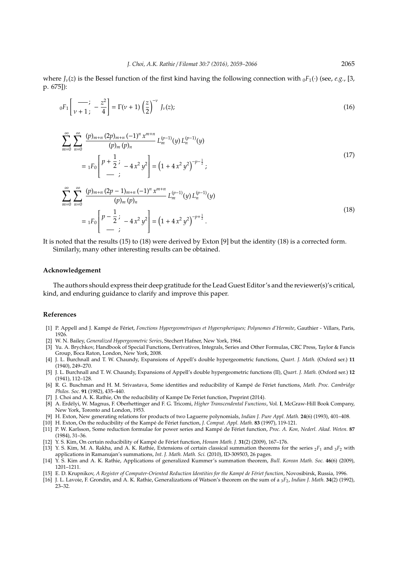where  $J_{\nu}(z)$  is the Bessel function of the first kind having the following connection with  $_0F_1(\cdot)$  (see, *e.g.*, [3, p. 675]):

$$
{}_{0}F_{1}\left[\frac{-}{\nu+1};\ -\frac{z^{2}}{4}\right] = \Gamma(\nu+1)\left(\frac{z}{2}\right)^{-\nu}J_{\nu}(z);
$$
\n(16)

$$
\sum_{m=0}^{\infty} \sum_{n=0}^{\infty} \frac{(p)_{m+n} (2p)_{m+n} (-1)^n x^{m+n}}{(p)_m (p)_n} L_m^{(p-1)}(y) L_n^{(p-1)}(y)
$$
  
=  ${}_1F_0 \left[ \begin{array}{c} p + \frac{1}{2} \\ -1 \end{array} ; -4x^2 y^2 \right] = \left( 1 + 4x^2 y^2 \right)^{-p - \frac{1}{2}} ;$  (17)

$$
\sum_{m=0}^{\infty} \sum_{n=0}^{\infty} \frac{(p)_{m+n} (2p-1)_{m+n} (-1)^n x^{m+n}}{(p)_m (p)_n} L_m^{(p-1)}(y) L_n^{(p-1)}(y)
$$
  
=  ${}_1F_0 \left[ P - \frac{1}{2} \right] - 4x^2 y^2 = \left(1 + 4x^2 y^2\right)^{-p+\frac{1}{2}}.$  (18)

It is noted that the results (15) to (18) were derived by Exton [9] but the identity (18) is a corrected form. Similarly, many other interesting results can be obtained.

#### **Acknowledgement**

The authors should express their deep gratitude for the Lead Guest Editor's and the reviewer(s)'s critical, kind, and enduring guidance to clarify and improve this paper.

## **References**

- [1] P. Appell and J. Kampé de Fériet, Fonctions Hypergeometriques et Hyperspheriques; Polynomes d'Hermite, Gauthier Villars, Paris, 1926.
- [2] W. N. Bailey, *Generalized Hypergeometric Series*, Stechert Hafner, New York, 1964.
- [3] Yu. A. Brychkov, Handbook of Special Functions, Derivatives, Integrals, Series and Other Formulas, CRC Press, Taylor & Fancis Group, Boca Raton, London, New York, 2008.
- [4] J. L. Burchnall and T. W. Chaundy, Expansions of Appell's double hypergeometric functions, *Quart. J. Math.* (Oxford ser.) **11** (1940), 249–270.
- [5] J. L. Burchnall and T. W. Chaundy, Expansions of Appell's double hypergeometric functions (II), *Quart. J. Math.* (Oxford ser.) **12** (1941), 112–128.
- [6] R. G. Buschman and H. M. Srivastava, Some identities and reducibility of Kampé de Fériet functions, Math. Proc. Cambridge *Philos. Soc.* **91** (1982), 435–440.
- [7] J. Choi and A. K. Rathie, On the reducibility of Kampé De Fériet function, Preprint (2014).
- [8] A. Erdélyi, W. Magnus, F. Oberhettinger and F. G. Tricomi, Higher Transcendental Functions, Vol. I, McGraw-Hill Book Company, New York, Toronto and London, 1953.
- [9] H. Exton, New generating relations for products of two Laguerre polynomials, *Indian J. Pure Appl. Math.* **24**(6) (1993), 401–408.
- [10] H. Exton, On the reducibility of the Kampé de Fériet function, J. Comput. Appl. Math. 83 (1997), 119-121. [11] P. W. Karlsson, Some reduction formulae for power series and Kampé de Fériet function, Proc. A. Kon, Nederl. Akad. Weten. 87
- (1984), 31–36.
- [12] Y. S. Kim, On certain reducibility of Kampé de Fériet function, *Honam Math. J.* **31**(2) (2009), 167-176.
- [13] Y. S. Kim, M. A. Rakha, and A. K. Rathie, Extensions of certain classical summation theorems for the series  ${}_2F_1$  and  ${}_3F_2$  with applications in Ramanujan's summations, *Int. J. Math. Math. Sci.* (2010), ID-309503, 26 pages.
- [14] Y. S. Kim and A. K. Rathie, Applications of generalized Kummer's summation theorem, *Bull. Korean Math. Soc.* **46**(6) (2009), 1201–1211.
- [15] E. D. Krupnikov, A Register of Computer-Oriented Reduction Identities for the Kampé de Fériet function, Novosibirsk, Russia, 1996.
- [16] J. L. Lavoie, F. Grondin, and A. K. Rathie, Generalizations of Watson's theorem on the sum of a <sup>3</sup>*F*2, *Indian J. Math.* **34**(2) (1992), 23–32.